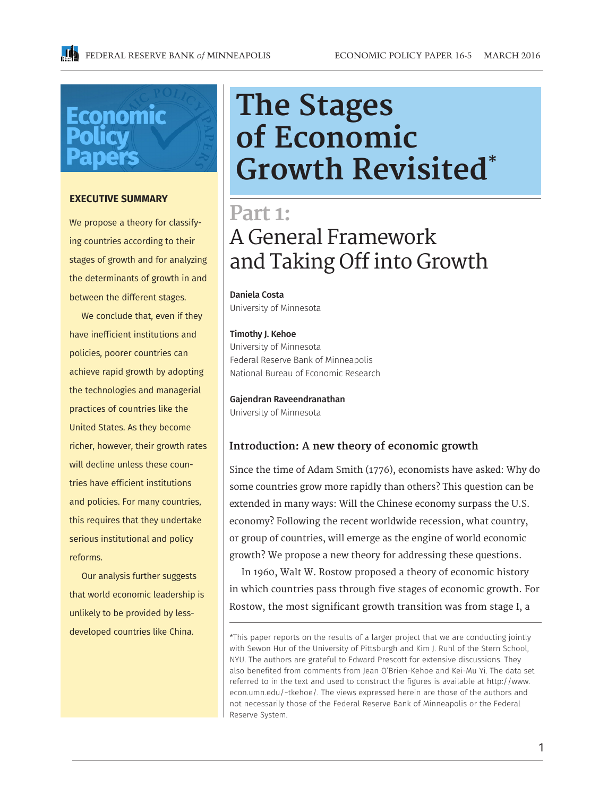# Economic

#### **EXECUTIVE SUMMARY**

We propose a theory for classifying countries according to their stages of growth and for analyzing the determinants of growth in and between the different stages.

We conclude that, even if they have inefficient institutions and policies, poorer countries can achieve rapid growth by adopting the technologies and managerial practices of countries like the United States. As they become richer, however, their growth rates will decline unless these countries have efficient institutions and policies. For many countries, this requires that they undertake serious institutional and policy reforms.

Our analysis further suggests that world economic leadership is unlikely to be provided by lessdeveloped countries like China.

## **The Stages of Economic Growth Revisited\***

### **Part 1:** A General Framework and Taking Off into Growth

Daniela Costa University of Minnesota

#### Timothy J. Kehoe

University of Minnesota Federal Reserve Bank of Minneapolis National Bureau of Economic Research

#### Gajendran Raveendranathan

University of Minnesota

#### **Introduction: A new theory of economic growth**

Since the time of Adam Smith (1776), economists have asked: Why do some countries grow more rapidly than others? This question can be extended in many ways: Will the Chinese economy surpass the U.S. economy? Following the recent worldwide recession, what country, or group of countries, will emerge as the engine of world economic growth? We propose a new theory for addressing these questions.

In 1960, Walt W. Rostow proposed a theory of economic history in which countries pass through five stages of economic growth. For Rostow, the most significant growth transition was from stage I, a

<sup>\*</sup>This paper reports on the results of a larger project that we are conducting jointly with Sewon Hur of the University of Pittsburgh and Kim J. Ruhl of the Stern School, NYU. The authors are grateful to Edward Prescott for extensive discussions. They also benefited from comments from Jean O'Brien-Kehoe and Kei-Mu Yi. The data set referred to in the text and used to construct the figures is available at http://www. econ.umn.edu/~tkehoe/. The views expressed herein are those of the authors and not necessarily those of the Federal Reserve Bank of Minneapolis or the Federal Reserve System.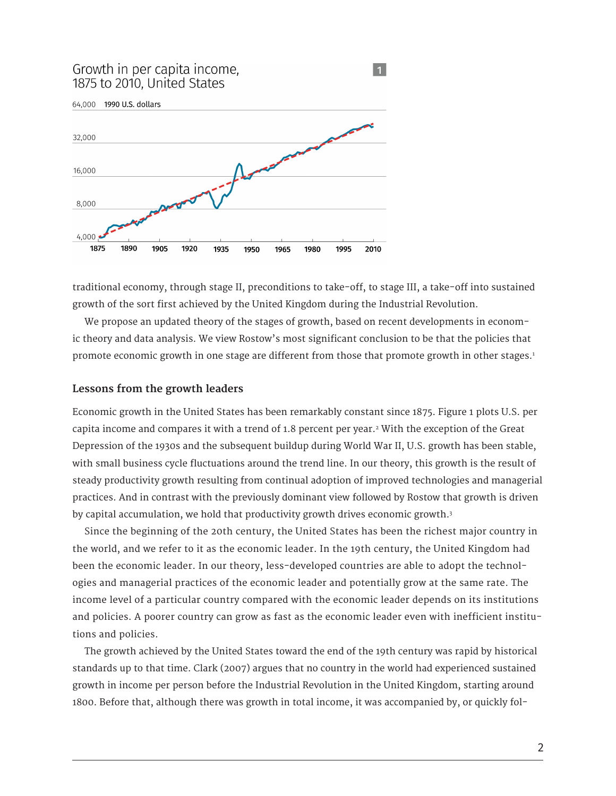#### Growth in per capita income, 1875 to 2010, United States



traditional economy, through stage II, preconditions to take-off, to stage III, a take-off into sustained growth of the sort first achieved by the United Kingdom during the Industrial Revolution.

 $\vert$  1

We propose an updated theory of the stages of growth, based on recent developments in economic theory and data analysis. We view Rostow's most significant conclusion to be that the policies that promote economic growth in one stage are different from those that promote growth in other stages.1

#### **Lessons from the growth leaders**

Economic growth in the United States has been remarkably constant since 1875. Figure 1 plots U.S. per capita income and compares it with a trend of 1.8 percent per year.2 With the exception of the Great Depression of the 1930s and the subsequent buildup during World War II, U.S. growth has been stable, with small business cycle fluctuations around the trend line. In our theory, this growth is the result of steady productivity growth resulting from continual adoption of improved technologies and managerial practices. And in contrast with the previously dominant view followed by Rostow that growth is driven by capital accumulation, we hold that productivity growth drives economic growth.<sup>3</sup>

Since the beginning of the 20th century, the United States has been the richest major country in the world, and we refer to it as the economic leader. In the 19th century, the United Kingdom had been the economic leader. In our theory, less-developed countries are able to adopt the technologies and managerial practices of the economic leader and potentially grow at the same rate. The income level of a particular country compared with the economic leader depends on its institutions and policies. A poorer country can grow as fast as the economic leader even with inefficient institutions and policies.

The growth achieved by the United States toward the end of the 19th century was rapid by historical standards up to that time. Clark (2007) argues that no country in the world had experienced sustained growth in income per person before the Industrial Revolution in the United Kingdom, starting around 1800. Before that, although there was growth in total income, it was accompanied by, or quickly fol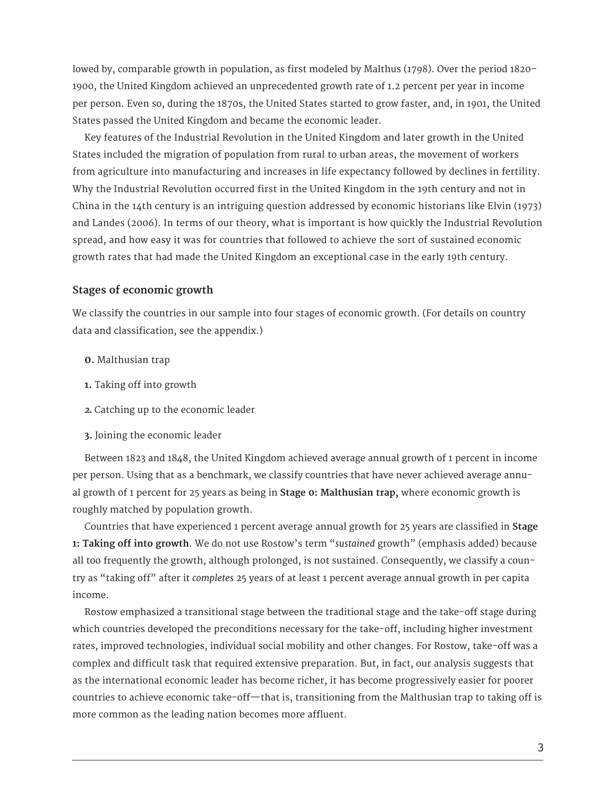lowed by, comparable growth in population, as first modeled by Malthus (1798). Over the period 1820– 1900, the United Kingdom achieved an unprecedented growth rate of 1.2 percent per year in income per person. Even so, during the 1870s, the United States started to grow faster, and, in 1901, the United States passed the United Kingdom and became the economic leader.

Key features of the Industrial Revolution in the United Kingdom and later growth in the United States included the migration of population from rural to urban areas, the movement of workers from agriculture into manufacturing and increases in life expectancy followed by declines in fertility. Why the Industrial Revolution occurred first in the United Kingdom in the 19th century and not in China in the 14th century is an intriguing question addressed by economic historians like Elvin (1973) and Landes (2006). In terms of our theory, what is important is how quickly the Industrial Revolution spread, and how easy it was for countries that followed to achieve the sort of sustained economic growth rates that had made the United Kingdom an exceptional case in the early 19th century.

#### **Stages of economic growth**

We classify the countries in our sample into four stages of economic growth. (For details on country data and classification, see the appendix.)

- **0.** Malthusian trap
- **1.** Taking off into growth
- *2.* Catching up to the economic leader
- **3.** Joining the economic leader

Between 1823 and 1848, the United Kingdom achieved average annual growth of 1 percent in income per person. Using that as a benchmark, we classify countries that have never achieved average annual growth of 1 percent for 25 years as being in **Stage 0: Malthusian trap,** where economic growth is roughly matched by population growth.

Countries that have experienced 1 percent average annual growth for 25 years are classified in **Stage 1: Taking off into growth**. We do not use Rostow's term "*sustained* growth" (emphasis added) because all too frequently the growth, although prolonged, is not sustained. Consequently, we classify a country as "taking off" after it *completes* 25 years of at least 1 percent average annual growth in per capita income.

Rostow emphasized a transitional stage between the traditional stage and the take-off stage during which countries developed the preconditions necessary for the take-off, including higher investment rates, improved technologies, individual social mobility and other changes. For Rostow, take-off was a complex and difficult task that required extensive preparation. But, in fact, our analysis suggests that as the international economic leader has become richer, it has become progressively easier for poorer countries to achieve economic take-off—that is, transitioning from the Malthusian trap to taking off is more common as the leading nation becomes more affluent.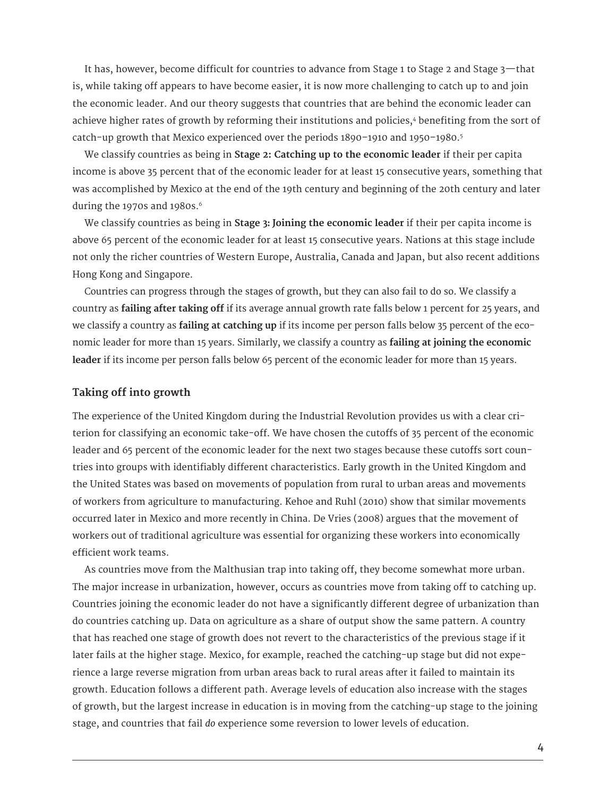It has, however, become difficult for countries to advance from Stage 1 to Stage 2 and Stage 3—that is, while taking off appears to have become easier, it is now more challenging to catch up to and join the economic leader. And our theory suggests that countries that are behind the economic leader can achieve higher rates of growth by reforming their institutions and policies,<sup>4</sup> benefiting from the sort of catch-up growth that Mexico experienced over the periods 1890–1910 and 1950–1980.5

We classify countries as being in **Stage 2: Catching up to the economic leader** if their per capita income is above 35 percent that of the economic leader for at least 15 consecutive years, something that was accomplished by Mexico at the end of the 19th century and beginning of the 20th century and later during the 1970s and 1980s.<sup>6</sup>

We classify countries as being in **Stage 3: Joining the economic leader** if their per capita income is above 65 percent of the economic leader for at least 15 consecutive years. Nations at this stage include not only the richer countries of Western Europe, Australia, Canada and Japan, but also recent additions Hong Kong and Singapore.

Countries can progress through the stages of growth, but they can also fail to do so. We classify a country as **failing after taking off** if its average annual growth rate falls below 1 percent for 25 years, and we classify a country as **failing at catching up** if its income per person falls below 35 percent of the economic leader for more than 15 years. Similarly, we classify a country as **failing at joining the economic leader** if its income per person falls below 65 percent of the economic leader for more than 15 years.

#### **Taking off into growth**

The experience of the United Kingdom during the Industrial Revolution provides us with a clear criterion for classifying an economic take-off. We have chosen the cutoffs of 35 percent of the economic leader and 65 percent of the economic leader for the next two stages because these cutoffs sort countries into groups with identifiably different characteristics. Early growth in the United Kingdom and the United States was based on movements of population from rural to urban areas and movements of workers from agriculture to manufacturing. Kehoe and Ruhl (2010) show that similar movements occurred later in Mexico and more recently in China. De Vries (2008) argues that the movement of workers out of traditional agriculture was essential for organizing these workers into economically efficient work teams.

As countries move from the Malthusian trap into taking off, they become somewhat more urban. The major increase in urbanization, however, occurs as countries move from taking off to catching up. Countries joining the economic leader do not have a significantly different degree of urbanization than do countries catching up. Data on agriculture as a share of output show the same pattern. A country that has reached one stage of growth does not revert to the characteristics of the previous stage if it later fails at the higher stage. Mexico, for example, reached the catching-up stage but did not experience a large reverse migration from urban areas back to rural areas after it failed to maintain its growth. Education follows a different path. Average levels of education also increase with the stages of growth, but the largest increase in education is in moving from the catching-up stage to the joining stage, and countries that fail *do* experience some reversion to lower levels of education.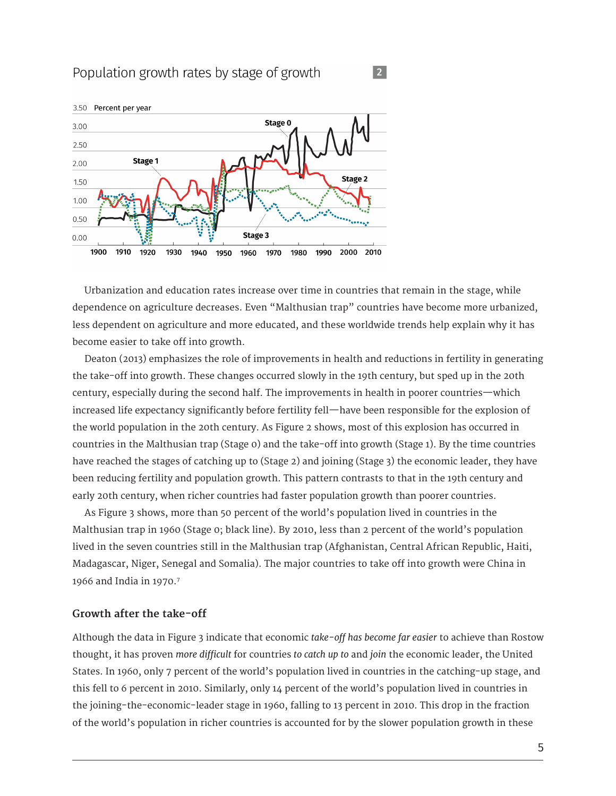#### Population growth rates by stage of growth



Urbanization and education rates increase over time in countries that remain in the stage, while dependence on agriculture decreases. Even "Malthusian trap" countries have become more urbanized, less dependent on agriculture and more educated, and these worldwide trends help explain why it has become easier to take off into growth.

 $\sqrt{2}$ 

Deaton (2013) emphasizes the role of improvements in health and reductions in fertility in generating the take-off into growth. These changes occurred slowly in the 19th century, but sped up in the 20th century, especially during the second half. The improvements in health in poorer countries—which increased life expectancy significantly before fertility fell—have been responsible for the explosion of the world population in the 20th century. As Figure 2 shows, most of this explosion has occurred in countries in the Malthusian trap (Stage 0) and the take-off into growth (Stage 1). By the time countries have reached the stages of catching up to (Stage 2) and joining (Stage 3) the economic leader, they have been reducing fertility and population growth. This pattern contrasts to that in the 19th century and early 20th century, when richer countries had faster population growth than poorer countries.

As Figure 3 shows, more than 50 percent of the world's population lived in countries in the Malthusian trap in 1960 (Stage 0; black line). By 2010, less than 2 percent of the world's population lived in the seven countries still in the Malthusian trap (Afghanistan, Central African Republic, Haiti, Madagascar, Niger, Senegal and Somalia). The major countries to take off into growth were China in 1966 and India in 1970.7

#### **Growth after the take-off**

Although the data in Figure 3 indicate that economic *take-off has become far easier* to achieve than Rostow thought, it has proven *more difficult* for countries *to catch up to* and *join* the economic leader, the United States. In 1960, only 7 percent of the world's population lived in countries in the catching-up stage, and this fell to 6 percent in 2010. Similarly, only 14 percent of the world's population lived in countries in the joining-the-economic-leader stage in 1960, falling to 13 percent in 2010. This drop in the fraction of the world's population in richer countries is accounted for by the slower population growth in these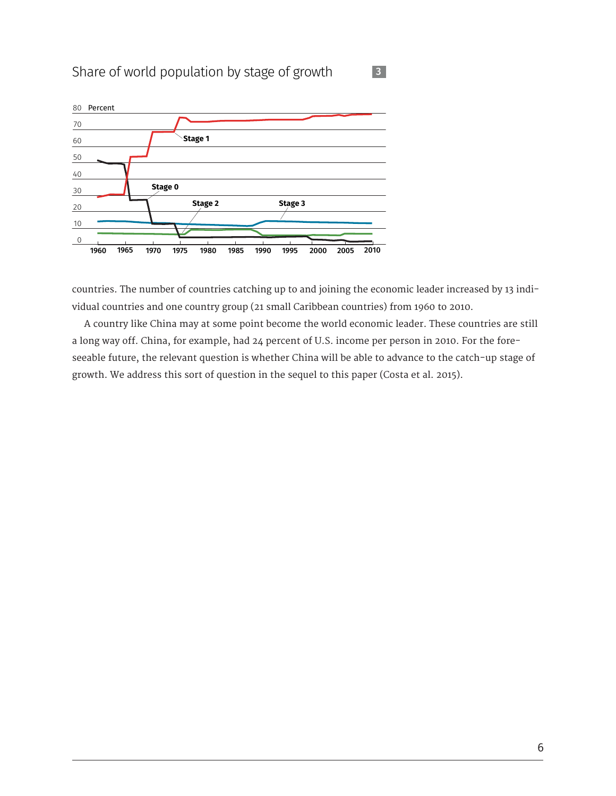#### Share of world population by stage of growth



countries. The number of countries catching up to and joining the economic leader increased by 13 individual countries and one country group (21 small Caribbean countries) from 1960 to 2010.

A country like China may at some point become the world economic leader. These countries are still a long way off. China, for example, had 24 percent of U.S. income per person in 2010. For the foreseeable future, the relevant question is whether China will be able to advance to the catch-up stage of growth. We address this sort of question in the sequel to this paper (Costa et al. 2015).

3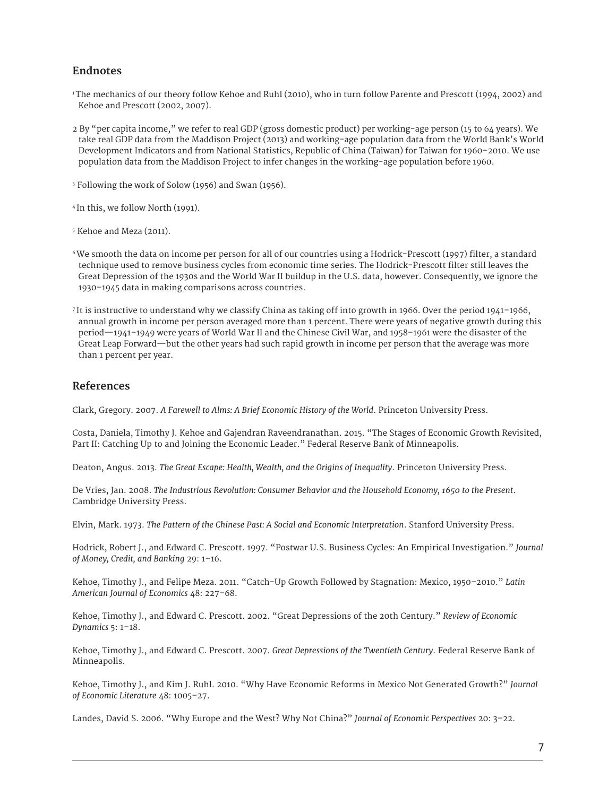#### **Endnotes**

- 1 The mechanics of our theory follow Kehoe and Ruhl (2010), who in turn follow Parente and Prescott (1994, 2002) and Kehoe and Prescott (2002, 2007).
- 2 By "per capita income," we refer to real GDP (gross domestic product) per working-age person (15 to 64 years). We take real GDP data from the Maddison Project (2013) and working-age population data from the World Bank's World Development Indicators and from National Statistics, Republic of China (Taiwan) for Taiwan for 1960–2010. We use population data from the Maddison Project to infer changes in the working-age population before 1960.
- 3 Following the work of Solow (1956) and Swan (1956).
- 4 In this, we follow North (1991).
- 5 Kehoe and Meza (2011).
- <sup>6</sup>We smooth the data on income per person for all of our countries using a Hodrick-Prescott (1997) filter, a standard technique used to remove business cycles from economic time series. The Hodrick-Prescott filter still leaves the Great Depression of the 1930s and the World War II buildup in the U.S. data, however. Consequently, we ignore the 1930–1945 data in making comparisons across countries.
- 7 It is instructive to understand why we classify China as taking off into growth in 1966. Over the period 1941–1966, annual growth in income per person averaged more than 1 percent. There were years of negative growth during this period—1941–1949 were years of World War II and the Chinese Civil War, and 1958–1961 were the disaster of the Great Leap Forward—but the other years had such rapid growth in income per person that the average was more than 1 percent per year.

#### **References**

Clark, Gregory. 2007. *A Farewell to Alms: A Brief Economic History of the World*. Princeton University Press.

Costa, Daniela, Timothy J. Kehoe and Gajendran Raveendranathan. 2015. "The Stages of Economic Growth Revisited, Part II: Catching Up to and Joining the Economic Leader." Federal Reserve Bank of Minneapolis.

Deaton, Angus. 2013. *The Great Escape: Health, Wealth, and the Origins of Inequality*. Princeton University Press.

De Vries, Jan. 2008. *The Industrious Revolution: Consumer Behavior and the Household Economy, 1650 to the Present*. Cambridge University Press.

Elvin, Mark. 1973. *The Pattern of the Chinese Past: A Social and Economic Interpretation*. Stanford University Press.

Hodrick, Robert J., and Edward C. Prescott. 1997. "Postwar U.S. Business Cycles: An Empirical Investigation." *Journal of Money, Credit, and Banking* 29: 1–16.

Kehoe, Timothy J., and Felipe Meza. 2011. "Catch-Up Growth Followed by Stagnation: Mexico, 1950–2010." *Latin American Journal of Economics* 48: 227–68.

Kehoe, Timothy J., and Edward C. Prescott. 2002. "Great Depressions of the 20th Century." *Review of Economic Dynamics* 5: 1–18.

Kehoe, Timothy J., and Edward C. Prescott. 2007. *Great Depressions of the Twentieth Century*. Federal Reserve Bank of Minneapolis.

Kehoe, Timothy J., and Kim J. Ruhl. 2010. "Why Have Economic Reforms in Mexico Not Generated Growth?" *Journal of Economic Literature* 48: 1005–27.

Landes, David S. 2006. "Why Europe and the West? Why Not China?" *Journal of Economic Perspectives* 20: 3–22.